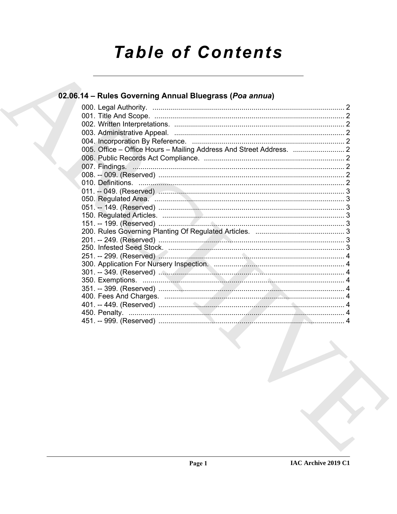# **Table of Contents**

# 02.06.14 - Rules Governing Annual Bluegrass (Poa annua)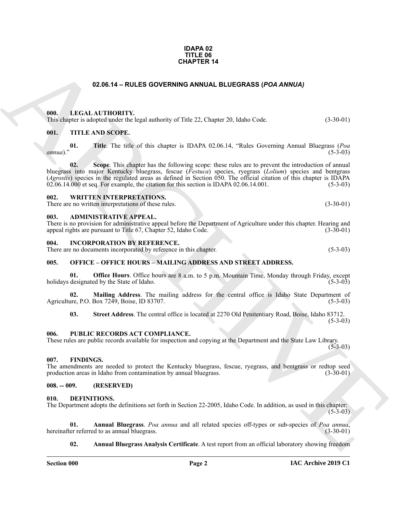#### **IDAPA 02 TITLE 06 CHAPTER 14**

#### **02.06.14 – RULES GOVERNING ANNUAL BLUEGRASS (***POA ANNUA)*

#### <span id="page-1-17"></span><span id="page-1-1"></span><span id="page-1-0"></span>**000. LEGAL AUTHORITY.**

This chapter is adopted under the legal authority of Title 22, Chapter 20, Idaho Code. (3-30-01)

#### <span id="page-1-20"></span><span id="page-1-2"></span>**001. TITLE AND SCOPE.**

**01. Title**. The title of this chapter is IDAPA 02.06.14, "Rules Governing Annual Bluegrass (*Poa annua*)." (5-3-03)

**CHAPTER 14**<br> **CHARCHIVE CONTRAPY**<br> **CHARCHIVE CONTRAPY**<br> **CHARCHIVE CONTRAPY**<br> **CHARCHIVE CONTRAPY**<br> **CHARCHIVE CONTRAPY**<br> **CHARCHIVE CONTRAPY**<br> **CHARCHIVE CONTRAPY**<br> **CHARCHIVE CONTRAPY**<br> **CHARCHIVE CONTRAPY**<br> **CHARCHIV 02. Scope**. This chapter has the following scope: these rules are to prevent the introduction of annual bluegrass into major Kentucky bluegrass, fescue (*Festuca*) species, ryegrass (*Lolium*) species and bentgrass (*Agrostis*) species in the regulated areas as defined in Section 050. The official citation of this chapter is IDAPA  $02.06.14.000$  et seq. For example, the citation for this section is IDAPA  $02.06.14.001$ .

#### <span id="page-1-21"></span><span id="page-1-3"></span>**002. WRITTEN INTERPRETATIONS.**

There are no written interpretations of these rules. (3-30-01)

#### <span id="page-1-11"></span><span id="page-1-4"></span>**003. ADMINISTRATIVE APPEAL.**

There is no provision for administrative appeal before the Department of Agriculture under this chapter. Hearing and appeal rights are pursuant to Title 67, Chapter 52, Idaho Code. (3-30-01) appeal rights are pursuant to Title 67, Chapter 52, Idaho Code.

#### <span id="page-1-16"></span><span id="page-1-5"></span>**004. INCORPORATION BY REFERENCE.**

There are no documents incorporated by reference in this chapter. (5-3-03)

#### <span id="page-1-18"></span><span id="page-1-6"></span>**005. OFFICE – OFFICE HOURS – MAILING ADDRESS AND STREET ADDRESS.**

**01. Office Hours**. Office hours are 8 a.m. to 5 p.m. Mountain Time, Monday through Friday, except designated by the State of Idaho. (5-3-03) holidays designated by the State of Idaho.

**02. Mailing Address**. The mailing address for the central office is Idaho State Department of Agriculture, P.O. Box 7249, Boise, ID 83707. (5-3-03)

<span id="page-1-19"></span>**03. Street Address**. The central office is located at 2270 Old Penitentiary Road, Boise, Idaho 83712.

 $(5-3-03)$ 

#### <span id="page-1-7"></span>**006. PUBLIC RECORDS ACT COMPLIANCE.**

These rules are public records available for inspection and copying at the Department and the State Law Library.  $(5-3-03)$ 

#### <span id="page-1-15"></span><span id="page-1-8"></span>**007. FINDINGS.**

The amendments are needed to protect the Kentucky bluegrass, fescue, ryegrass, and bentgrass or redtop seed production areas in Idaho from contamination by annual bluegrass. (3-30-01) production areas in Idaho from contamination by annual bluegrass.

#### <span id="page-1-9"></span>**008. -- 009. (RESERVED)**

#### <span id="page-1-12"></span><span id="page-1-10"></span>**010. DEFINITIONS.**

The Department adopts the definitions set forth in Section 22-2005, Idaho Code. In addition, as used in this chapter:  $(5-3-03)$ 

**01. Annual Bluegrass**. *Poa annua* and all related species off-types or sub-species of *Poa annua*, hereinafter referred to as annual bluegrass. (3-30-01)

#### <span id="page-1-14"></span><span id="page-1-13"></span>**02. Annual Bluegrass Analysis Certificate**. A test report from an official laboratory showing freedom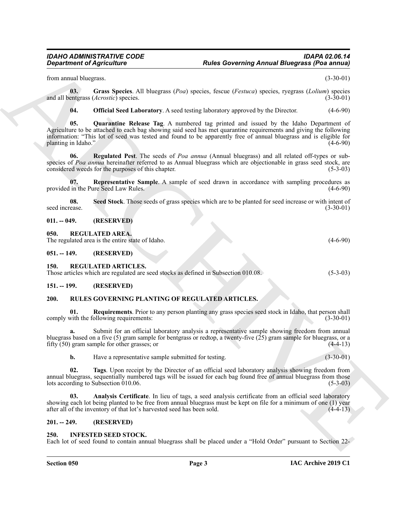from annual bluegrass. (3-30-01)

**03. Grass Species**. All bluegrass (*Poa*) species, fescue (*Festuca*) species, ryegrass (*Lolium*) species and all bentgrass (*Acrostic*) species.

<span id="page-2-11"></span><span id="page-2-10"></span><span id="page-2-9"></span><span id="page-2-8"></span>**04. Official Seed Laboratory**. A seed testing laboratory approved by the Director. (4-6-90)

**Expansion of Agenciation** Constraints Constraint Paul and the subsection of Agenciation Constraint (New York 1978)<br>
Social Design Constraint Constraint (New York 1978) and the subsect of the United Constraint Constraint **05. Quarantine Release Tag**. A numbered tag printed and issued by the Idaho Department of Agriculture to be attached to each bag showing said seed has met quarantine requirements and giving the following information: "This lot of seed was tested and found to be apparently free of annual bluegrass and is eligible for planting in Idaho." (4-6-90)

**06. Regulated Pest**. The seeds of *Poa annua* (Annual bluegrass) and all related off-types or subspecies of *Poa annua* hereinafter referred to as Annual bluegrass which are objectionable in grass seed stock, are considered weeds for the purposes of this chapter. (5-3-03)

<span id="page-2-12"></span>**07. Representative Sample**. A sample of seed drawn in accordance with sampling procedures as provided in the Pure Seed Law Rules. (4-6-90)

<span id="page-2-13"></span>**08.** Seed Stock. Those seeds of grass species which are to be planted for seed increase or with intent of ease.  $(3-30-01)$ seed increase.

<span id="page-2-0"></span>**011. -- 049. (RESERVED)**

<span id="page-2-15"></span><span id="page-2-1"></span>**050. REGULATED AREA.**

The regulated area is the entire state of Idaho. (4-6-90)

<span id="page-2-2"></span>**051. -- 149. (RESERVED)**

#### <span id="page-2-16"></span><span id="page-2-3"></span>**150. REGULATED ARTICLES.**

Those articles which are regulated are seed stocks as defined in Subsection 010.08. (5-3-03)

#### <span id="page-2-4"></span>**151. -- 199. (RESERVED)**

#### <span id="page-2-17"></span><span id="page-2-5"></span>**200. RULES GOVERNING PLANTING OF REGULATED ARTICLES.**

<span id="page-2-19"></span>**Requirements**. Prior to any person planting any grass species seed stock in Idaho, that person shall comply with the following requirements: (3-30-01)

**a.** Submit for an official laboratory analysis a representative sample showing freedom from annual bluegrass based on a five  $(5)$  gram sample for bentgrass or redtop, a twenty-five  $(25)$  gram sample for bluegrass, or a fifty (50) gram sample for other grasses; or (4-4-13)

<span id="page-2-20"></span><span id="page-2-18"></span>**b.** Have a representative sample submitted for testing. (3-30-01)

**02. Tags**. Upon receipt by the Director of an official seed laboratory analysis showing freedom from annual bluegrass, sequentially numbered tags will be issued for each bag found free of annual bluegrass from those lots according to Subsection 010.06. (5-3-03)

Analysis Certificate. In lieu of tags, a seed analysis certificate from an official seed laboratory showing each lot being planted to be free from annual bluegrass must be kept on file for a minimum of one (1) year after all of the inventory of that lot's harvested seed has been sold. (4-4-13)

#### <span id="page-2-6"></span>**201. -- 249. (RESERVED)**

#### <span id="page-2-14"></span><span id="page-2-7"></span>**250. INFESTED SEED STOCK.**

Each lot of seed found to contain annual bluegrass shall be placed under a "Hold Order" pursuant to Section 22-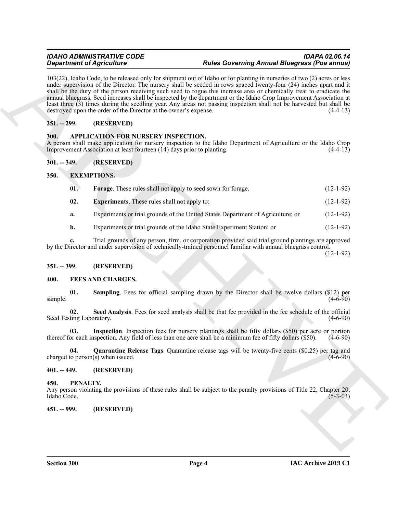#### *IDAHO ADMINISTRATIVE CODE IDAPA 02.06.14 Rules Governing Annual Bluegrass (Poa annua)*

**Experiments of Agricultures**<br> **ARCHIVES** (a) the statement of the Exciting and the Concerning Archives and the statement of the Society of Agricultures (*ARCHIVES*)<br>
And the Concerning the statement of the propose that t 103(22), Idaho Code, to be released only for shipment out of Idaho or for planting in nurseries of two (2) acres or less under supervision of the Director. The nursery shall be seeded in rows spaced twenty-four (24) inches apart and it shall be the duty of the person receiving such seed to rogue this increase area or chemically treat to eradicate the annual bluegrass. Seed increases shall be inspected by the department or the Idaho Crop Improvement Association at least three (3) times during the seedling year. Any areas not passing inspection shall not be harvested but shall be destroyed upon the order of the Director at the owner's expense. (4-4-13)

#### <span id="page-3-0"></span>**251. -- 299. (RESERVED)**

#### <span id="page-3-9"></span><span id="page-3-1"></span>**300. APPLICATION FOR NURSERY INSPECTION.**

A person shall make application for nursery inspection to the Idaho Department of Agriculture or the Idaho Crop Improvement Association at least fourteen (14) days prior to planting. (4-4-13)

#### <span id="page-3-2"></span>**301. -- 349. (RESERVED)**

#### <span id="page-3-3"></span>**350. EXEMPTIONS.**

<span id="page-3-12"></span><span id="page-3-11"></span><span id="page-3-10"></span>

| $\mathbf{01}$ | <b>Forage.</b> These rules shall not apply to seed sown for forage.             | $(12-1-92)$ |
|---------------|---------------------------------------------------------------------------------|-------------|
| 02.           | <b>Experiments.</b> These rules shall not apply to:                             | $(12-1-92)$ |
| a.            | Experiments or trial grounds of the United States Department of Agriculture; or | $(12-1-92)$ |

**b.** Experiments or trial grounds of the Idaho State Experiment Station; or (12-1-92)

**c.** Trial grounds of any person, firm, or corporation provided said trial ground plantings are approved by the Director and under supervision of technically-trained personnel familiar with annual bluegrass control.

(12-1-92)

#### <span id="page-3-4"></span>**351. -- 399. (RESERVED)**

#### <span id="page-3-13"></span><span id="page-3-5"></span>**400. FEES AND CHARGES.**

<span id="page-3-16"></span>**01. Sampling**. Fees for official sampling drawn by the Director shall be twelve dollars (\$12) per  $\text{sample.} \tag{4-6-90}$ 

<span id="page-3-17"></span>**02. Seed Analysis**. Fees for seed analysis shall be that fee provided in the fee schedule of the official Seed Testing Laboratory. (4-6-90)

<span id="page-3-14"></span>**03. Inspection**. Inspection fees for nursery plantings shall be fifty dollars (\$50) per acre or portion thereof for each inspection. Any field of less than one acre shall be a minimum fee of fifty dollars (\$50). (4-6-90)

<span id="page-3-15"></span>**04. Quarantine Release Tags**. Quarantine release tags will be twenty-five cents (\$0.25) per tag and to person(s) when issued. (4-6-90) charged to person $(s)$  when issued.

#### <span id="page-3-6"></span>**401. -- 449. (RESERVED)**

#### <span id="page-3-18"></span><span id="page-3-7"></span>**450. PENALTY.**

Any person violating the provisions of these rules shall be subject to the penalty provisions of Title 22, Chapter 20, Idaho Code. (5-3-03) Idaho Code. (5-3-03)

#### <span id="page-3-8"></span>**451. -- 999. (RESERVED)**